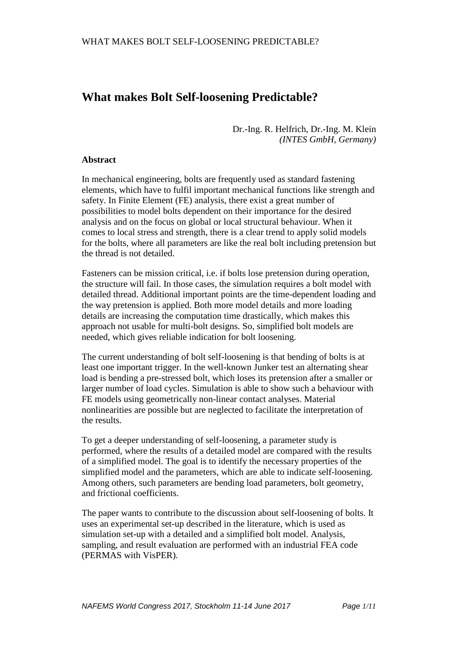# **What makes Bolt Self-loosening Predictable?**

Dr.-Ing. R. Helfrich, Dr.-Ing. M. Klein *(INTES GmbH, Germany)*

#### **Abstract**

In mechanical engineering, bolts are frequently used as standard fastening elements, which have to fulfil important mechanical functions like strength and safety. In Finite Element (FE) analysis, there exist a great number of possibilities to model bolts dependent on their importance for the desired analysis and on the focus on global or local structural behaviour. When it comes to local stress and strength, there is a clear trend to apply solid models for the bolts, where all parameters are like the real bolt including pretension but the thread is not detailed.

Fasteners can be mission critical, i.e. if bolts lose pretension during operation, the structure will fail. In those cases, the simulation requires a bolt model with detailed thread. Additional important points are the time-dependent loading and the way pretension is applied. Both more model details and more loading details are increasing the computation time drastically, which makes this approach not usable for multi-bolt designs. So, simplified bolt models are needed, which gives reliable indication for bolt loosening.

The current understanding of bolt self-loosening is that bending of bolts is at least one important trigger. In the well-known Junker test an alternating shear load is bending a pre-stressed bolt, which loses its pretension after a smaller or larger number of load cycles. Simulation is able to show such a behaviour with FE models using geometrically non-linear contact analyses. Material nonlinearities are possible but are neglected to facilitate the interpretation of the results.

To get a deeper understanding of self-loosening, a parameter study is performed, where the results of a detailed model are compared with the results of a simplified model. The goal is to identify the necessary properties of the simplified model and the parameters, which are able to indicate self-loosening. Among others, such parameters are bending load parameters, bolt geometry, and frictional coefficients.

The paper wants to contribute to the discussion about self-loosening of bolts. It uses an experimental set-up described in the literature, which is used as simulation set-up with a detailed and a simplified bolt model. Analysis, sampling, and result evaluation are performed with an industrial FEA code (PERMAS with VisPER).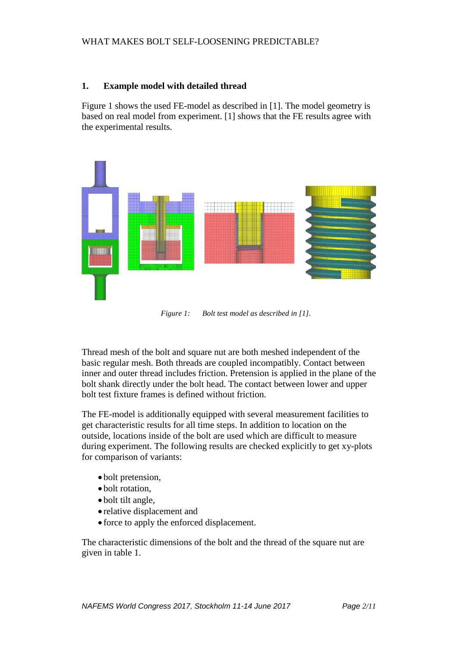# **1. Example model with detailed thread**

Figure 1 shows the used FE-model as described in [1]. The model geometry is based on real model from experiment. [1] shows that the FE results agree with the experimental results.



*Figure 1: Bolt test model as described in [1].*

Thread mesh of the bolt and square nut are both meshed independent of the basic regular mesh. Both threads are coupled incompatibly. Contact between inner and outer thread includes friction. Pretension is applied in the plane of the bolt shank directly under the bolt head. The contact between lower and upper bolt test fixture frames is defined without friction.

The FE-model is additionally equipped with several measurement facilities to get characteristic results for all time steps. In addition to location on the outside, locations inside of the bolt are used which are difficult to measure during experiment. The following results are checked explicitly to get xy-plots for comparison of variants:

- bolt pretension,
- bolt rotation,
- bolt tilt angle,
- relative displacement and
- force to apply the enforced displacement.

The characteristic dimensions of the bolt and the thread of the square nut are given in table 1.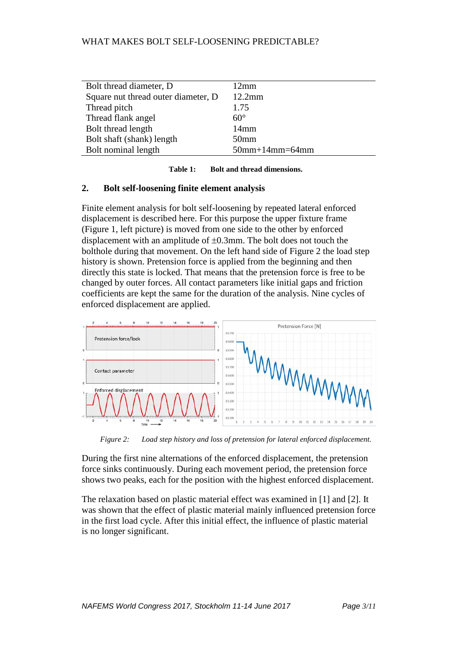| Bolt thread diameter, D             | $12 \text{mm}$            |
|-------------------------------------|---------------------------|
| Square nut thread outer diameter, D | $12.2$ mm                 |
| Thread pitch                        | 1.75                      |
| Thread flank angel                  | $60^{\circ}$              |
| Bolt thread length                  | 14mm                      |
| Bolt shaft (shank) length           | 50 <sub>mm</sub>          |
| Bolt nominal length                 | $50$ mm+ $14$ mm= $64$ mm |
|                                     |                           |

| <b>Bolt and thread dimensions.</b><br>Table 1: |
|------------------------------------------------|
|------------------------------------------------|

#### **2. Bolt self-loosening finite element analysis**

Finite element analysis for bolt self-loosening by repeated lateral enforced displacement is described here. For this purpose the upper fixture frame (Figure 1, left picture) is moved from one side to the other by enforced displacement with an amplitude of ±0.3mm. The bolt does not touch the bolthole during that movement. On the left hand side of Figure 2 the load step history is shown. Pretension force is applied from the beginning and then directly this state is locked. That means that the pretension force is free to be changed by outer forces. All contact parameters like initial gaps and friction coefficients are kept the same for the duration of the analysis. Nine cycles of enforced displacement are applied.



*Figure 2: Load step history and loss of pretension for lateral enforced displacement.*

During the first nine alternations of the enforced displacement, the pretension force sinks continuously. During each movement period, the pretension force shows two peaks, each for the position with the highest enforced displacement.

The relaxation based on plastic material effect was examined in [1] and [2]. It was shown that the effect of plastic material mainly influenced pretension force in the first load cycle. After this initial effect, the influence of plastic material is no longer significant.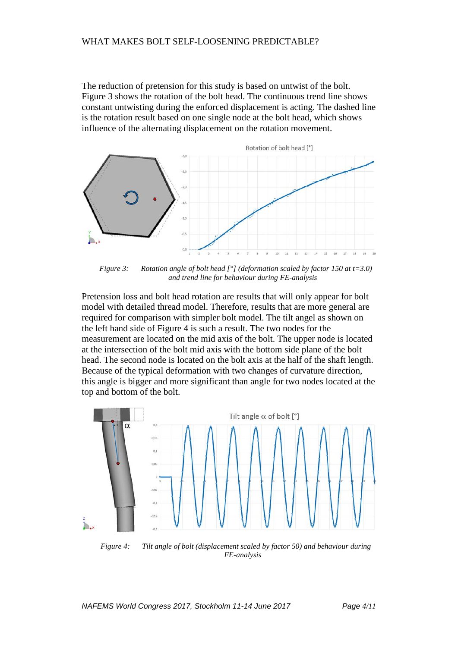The reduction of pretension for this study is based on untwist of the bolt. Figure 3 shows the rotation of the bolt head. The continuous trend line shows constant untwisting during the enforced displacement is acting. The dashed line is the rotation result based on one single node at the bolt head, which shows influence of the alternating displacement on the rotation movement.



*Figure 3:* Rotation angle of bolt head  $\int_{0}^{0}$  (deformation scaled by factor 150 at t=3.0) *and trend line for behaviour during FE-analysis* 

Pretension loss and bolt head rotation are results that will only appear for bolt model with detailed thread model. Therefore, results that are more general are required for comparison with simpler bolt model. The tilt angel as shown on the left hand side of Figure 4 is such a result. The two nodes for the measurement are located on the mid axis of the bolt. The upper node is located at the intersection of the bolt mid axis with the bottom side plane of the bolt head. The second node is located on the bolt axis at the half of the shaft length. Because of the typical deformation with two changes of curvature direction, this angle is bigger and more significant than angle for two nodes located at the top and bottom of the bolt.



*Figure 4: Tilt angle of bolt (displacement scaled by factor 50) and behaviour during FE-analysis*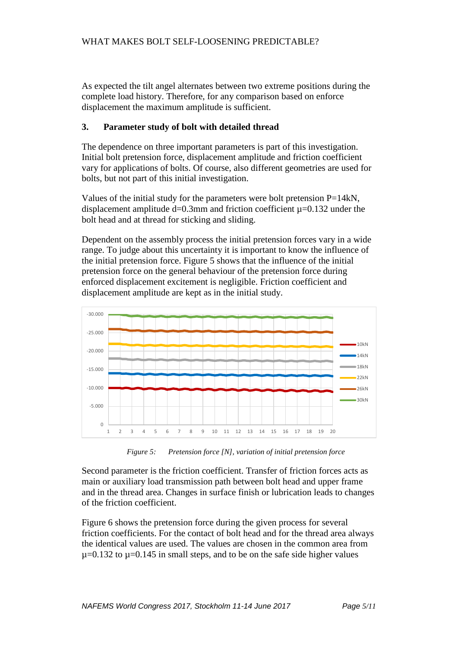As expected the tilt angel alternates between two extreme positions during the complete load history. Therefore, for any comparison based on enforce displacement the maximum amplitude is sufficient.

## **3. Parameter study of bolt with detailed thread**

The dependence on three important parameters is part of this investigation. Initial bolt pretension force, displacement amplitude and friction coefficient vary for applications of bolts. Of course, also different geometries are used for bolts, but not part of this initial investigation.

Values of the initial study for the parameters were bolt pretension  $P=14kN$ , displacement amplitude  $d=0.3$ mm and friction coefficient  $\mu=0.132$  under the bolt head and at thread for sticking and sliding.

Dependent on the assembly process the initial pretension forces vary in a wide range. To judge about this uncertainty it is important to know the influence of the initial pretension force. Figure 5 shows that the influence of the initial pretension force on the general behaviour of the pretension force during enforced displacement excitement is negligible. Friction coefficient and displacement amplitude are kept as in the initial study.



*Figure 5: Pretension force [N], variation of initial pretension force* 

Second parameter is the friction coefficient. Transfer of friction forces acts as main or auxiliary load transmission path between bolt head and upper frame and in the thread area. Changes in surface finish or lubrication leads to changes of the friction coefficient.

Figure 6 shows the pretension force during the given process for several friction coefficients. For the contact of bolt head and for the thread area always the identical values are used. The values are chosen in the common area from  $\mu$ =0.132 to  $\mu$ =0.145 in small steps, and to be on the safe side higher values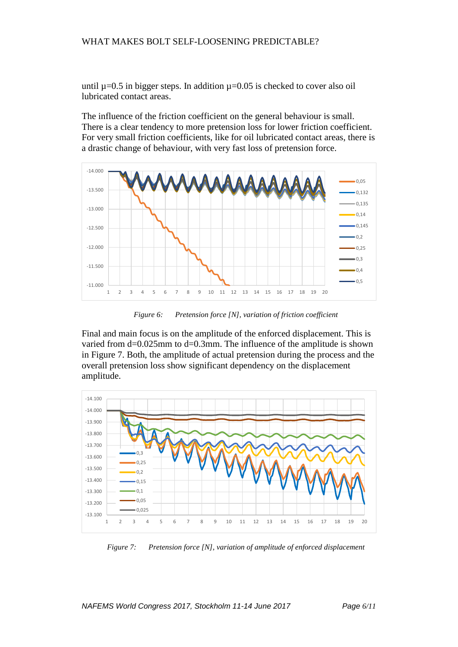until  $\mu$ =0.5 in bigger steps. In addition  $\mu$ =0.05 is checked to cover also oil lubricated contact areas.

The influence of the friction coefficient on the general behaviour is small. There is a clear tendency to more pretension loss for lower friction coefficient. For very small friction coefficients, like for oil lubricated contact areas, there is a drastic change of behaviour, with very fast loss of pretension force.



*Figure 6: Pretension force [N], variation of friction coefficient* 

Final and main focus is on the amplitude of the enforced displacement. This is varied from d=0.025mm to d=0.3mm. The influence of the amplitude is shown in Figure 7. Both, the amplitude of actual pretension during the process and the overall pretension loss show significant dependency on the displacement amplitude.



*Figure 7: Pretension force [N], variation of amplitude of enforced displacement*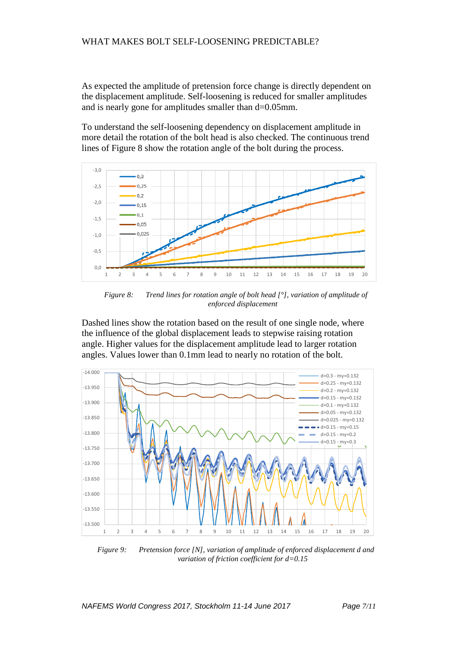As expected the amplitude of pretension force change is directly dependent on the displacement amplitude. Self-loosening is reduced for smaller amplitudes and is nearly gone for amplitudes smaller than d=0.05mm.

To understand the self-loosening dependency on displacement amplitude in more detail the rotation of the bolt head is also checked. The continuous trend lines of Figure 8 show the rotation angle of the bolt during the process.



*Figure 8: Trend lines for rotation angle of bolt head [°], variation of amplitude of enforced displacement* 

Dashed lines show the rotation based on the result of one single node, where the influence of the global displacement leads to stepwise raising rotation angle. Higher values for the displacement amplitude lead to larger rotation angles. Values lower than 0.1mm lead to nearly no rotation of the bolt.



*Figure 9: Pretension force [N], variation of amplitude of enforced displacement d and variation of friction coefficient for d=0.15*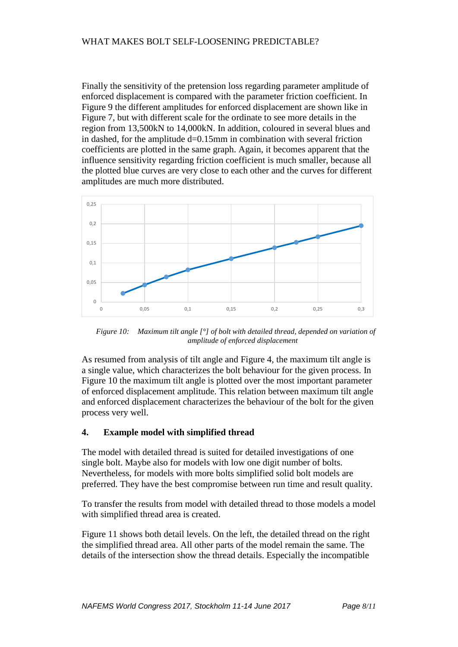Finally the sensitivity of the pretension loss regarding parameter amplitude of enforced displacement is compared with the parameter friction coefficient. In Figure 9 the different amplitudes for enforced displacement are shown like in Figure 7, but with different scale for the ordinate to see more details in the region from 13,500kN to 14,000kN. In addition, coloured in several blues and in dashed, for the amplitude  $d=0.15$ mm in combination with several friction coefficients are plotted in the same graph. Again, it becomes apparent that the influence sensitivity regarding friction coefficient is much smaller, because all the plotted blue curves are very close to each other and the curves for different amplitudes are much more distributed.



*Figure 10: Maximum tilt angle [°] of bolt with detailed thread, depended on variation of amplitude of enforced displacement*

As resumed from analysis of tilt angle and Figure 4, the maximum tilt angle is a single value, which characterizes the bolt behaviour for the given process. In Figure 10 the maximum tilt angle is plotted over the most important parameter of enforced displacement amplitude. This relation between maximum tilt angle and enforced displacement characterizes the behaviour of the bolt for the given process very well.

## **4. Example model with simplified thread**

The model with detailed thread is suited for detailed investigations of one single bolt. Maybe also for models with low one digit number of bolts. Nevertheless, for models with more bolts simplified solid bolt models are preferred. They have the best compromise between run time and result quality.

To transfer the results from model with detailed thread to those models a model with simplified thread area is created.

Figure 11 shows both detail levels. On the left, the detailed thread on the right the simplified thread area. All other parts of the model remain the same. The details of the intersection show the thread details. Especially the incompatible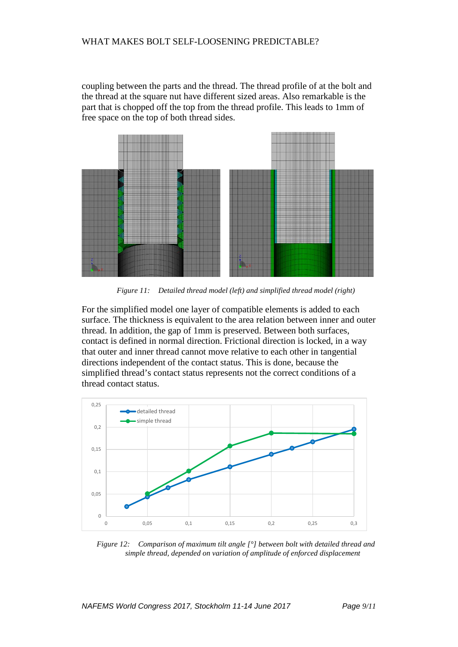coupling between the parts and the thread. The thread profile of at the bolt and the thread at the square nut have different sized areas. Also remarkable is the part that is chopped off the top from the thread profile. This leads to 1mm of free space on the top of both thread sides.



*Figure 11: Detailed thread model (left) and simplified thread model (right)*

For the simplified model one layer of compatible elements is added to each surface. The thickness is equivalent to the area relation between inner and outer thread. In addition, the gap of 1mm is preserved. Between both surfaces, contact is defined in normal direction. Frictional direction is locked, in a way that outer and inner thread cannot move relative to each other in tangential directions independent of the contact status. This is done, because the simplified thread's contact status represents not the correct conditions of a thread contact status.



*Figure 12: Comparison of maximum tilt angle [°] between bolt with detailed thread and simple thread, depended on variation of amplitude of enforced displacement*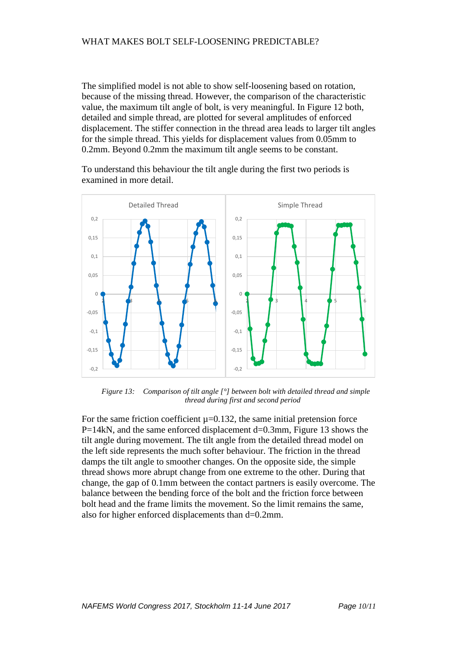The simplified model is not able to show self-loosening based on rotation, because of the missing thread. However, the comparison of the characteristic value, the maximum tilt angle of bolt, is very meaningful. In Figure 12 both, detailed and simple thread, are plotted for several amplitudes of enforced displacement. The stiffer connection in the thread area leads to larger tilt angles for the simple thread. This yields for displacement values from 0.05mm to 0.2mm. Beyond 0.2mm the maximum tilt angle seems to be constant.

To understand this behaviour the tilt angle during the first two periods is examined in more detail.



*Figure 13: Comparison of tilt angle [°] between bolt with detailed thread and simple thread during first and second period*

For the same friction coefficient  $\mu$ =0.132, the same initial pretension force P=14kN, and the same enforced displacement d=0.3mm, Figure 13 shows the tilt angle during movement. The tilt angle from the detailed thread model on the left side represents the much softer behaviour. The friction in the thread damps the tilt angle to smoother changes. On the opposite side, the simple thread shows more abrupt change from one extreme to the other. During that change, the gap of 0.1mm between the contact partners is easily overcome. The balance between the bending force of the bolt and the friction force between bolt head and the frame limits the movement. So the limit remains the same, also for higher enforced displacements than d=0.2mm.